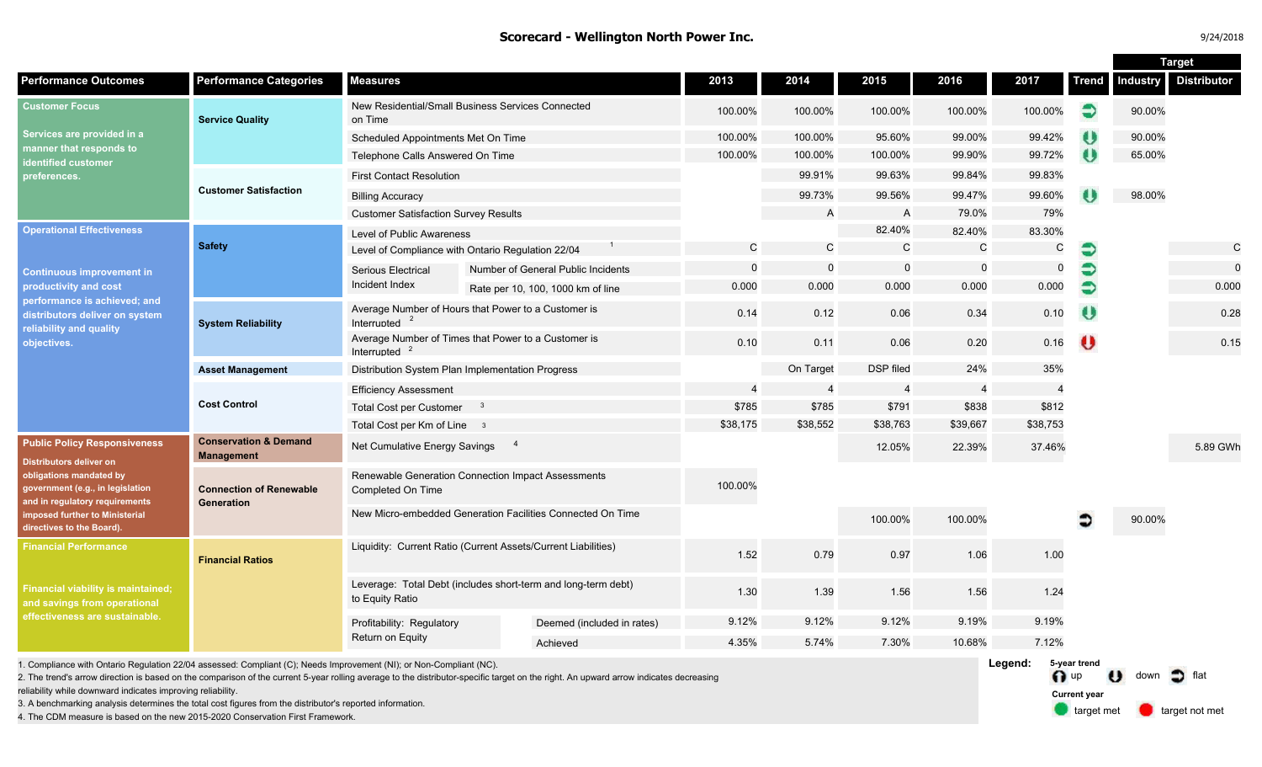## **Scorecard - Wellington North Power Inc.**

|                                                                                                                                                                                                                                       |                                                       |                                                                                  |                                    |           |                  |                |              |                          | <b>Target</b>         |                    |                    |
|---------------------------------------------------------------------------------------------------------------------------------------------------------------------------------------------------------------------------------------|-------------------------------------------------------|----------------------------------------------------------------------------------|------------------------------------|-----------|------------------|----------------|--------------|--------------------------|-----------------------|--------------------|--------------------|
| <b>Performance Outcomes</b>                                                                                                                                                                                                           | <b>Performance Categories</b>                         | <b>Measures</b>                                                                  |                                    | 2013      | 2014             | 2015           | 2016         | 2017                     | <b>Trend</b>          | <b>Industry</b>    | <b>Distributor</b> |
| <b>Customer Focus</b><br>Services are provided in a<br>nanner that responds to<br>dentified customer<br>›references.                                                                                                                  | <b>Service Quality</b>                                | New Residential/Small Business Services Connected<br>on Time                     |                                    | 100.00%   | 100.00%          | 100.00%        | 100.00%      | 100.00%                  | €                     | 90.00%             |                    |
|                                                                                                                                                                                                                                       |                                                       | Scheduled Appointments Met On Time                                               |                                    | 100.00%   | 100.00%          | 95.60%         | 99.00%       | 99.42%                   | $\boldsymbol{\theta}$ | 90.00%             |                    |
|                                                                                                                                                                                                                                       |                                                       | Telephone Calls Answered On Time                                                 |                                    | 100.00%   | 100.00%          | 100.00%        | 99.90%       | 99.72%                   | $\bullet$             | 65.00%             |                    |
|                                                                                                                                                                                                                                       | <b>Customer Satisfaction</b>                          | <b>First Contact Resolution</b>                                                  |                                    |           | 99.91%           | 99.63%         | 99.84%       | 99.83%                   |                       |                    |                    |
|                                                                                                                                                                                                                                       |                                                       | <b>Billing Accuracy</b>                                                          |                                    |           | 99.73%           | 99.56%         | 99.47%       | 99.60%                   |                       | 98.00%             |                    |
|                                                                                                                                                                                                                                       |                                                       | <b>Customer Satisfaction Survey Results</b>                                      |                                    |           | A                | $\mathsf{A}$   | 79.0%        | 79%                      |                       |                    |                    |
| <b>Operational Effectiveness</b><br><b>Continuous improvement in</b><br>productivity and cost<br>performance is achieved; and<br>distributors deliver on system<br>reliability and quality<br>objectives.                             | <b>Safety</b>                                         | Level of Public Awareness                                                        |                                    |           |                  | 82.40%         | 82.40%       | 83.30%                   |                       |                    |                    |
|                                                                                                                                                                                                                                       |                                                       | Level of Compliance with Ontario Regulation 22/04                                |                                    | C         | $\mathsf{C}$     | $\mathsf{C}$   | $\mathsf{C}$ | C                        | €                     |                    | $\mathsf C$        |
|                                                                                                                                                                                                                                       |                                                       | Serious Electrical                                                               | Number of General Public Incidents | $\Omega$  | $\Omega$         | $\overline{0}$ | $\Omega$     | $\mathbf 0$              | €                     |                    | $\Omega$           |
|                                                                                                                                                                                                                                       |                                                       | Incident Index                                                                   | Rate per 10, 100, 1000 km of line  | 0.000     | 0.000            | 0.000          | 0.000        | 0.000                    | €                     |                    | 0.000              |
|                                                                                                                                                                                                                                       | <b>System Reliability</b>                             | Average Number of Hours that Power to a Customer is<br>Interrupted               |                                    | 0.14      | 0.12             | 0.06           | 0.34         | 0.10                     | $\boldsymbol{\theta}$ |                    | 0.28               |
|                                                                                                                                                                                                                                       |                                                       | Average Number of Times that Power to a Customer is<br>Interrupted <sup>2</sup>  |                                    | 0.10      | 0.11             | 0.06           | 0.20         | 0.16                     | $\bullet$             |                    | 0.15               |
|                                                                                                                                                                                                                                       | <b>Asset Management</b>                               | Distribution System Plan Implementation Progress                                 |                                    | On Target | <b>DSP</b> filed | 24%            | 35%          |                          |                       |                    |                    |
|                                                                                                                                                                                                                                       | <b>Cost Control</b>                                   | <b>Efficiency Assessment</b>                                                     |                                    |           | $\overline{4}$   | $\overline{4}$ | -4           | $\overline{\mathcal{A}}$ |                       |                    |                    |
|                                                                                                                                                                                                                                       |                                                       | <b>Total Cost per Customer</b><br>$\mathbf{3}$                                   |                                    | \$785     | \$785            | \$791          | \$838        | \$812                    |                       |                    |                    |
|                                                                                                                                                                                                                                       |                                                       | Total Cost per Km of Line 3                                                      | \$38,175                           | \$38,552  | \$38,763         | \$39,667       | \$38,753     |                          |                       |                    |                    |
| <b>Public Policy Responsiveness</b><br><b>Distributors deliver on</b><br>obligations mandated by<br>government (e.g., in legislation<br>and in regulatory requirements<br>imposed further to Ministerial<br>directives to the Board). | <b>Conservation &amp; Demand</b><br><b>Management</b> | Net Cumulative Energy Savings                                                    |                                    |           | 12.05%           | 22.39%         | 37.46%       |                          |                       | 5.89 GWh           |                    |
|                                                                                                                                                                                                                                       | <b>Connection of Renewable</b><br><b>Generation</b>   | Renewable Generation Connection Impact Assessments<br>Completed On Time          |                                    | 100.00%   |                  |                |              |                          |                       |                    |                    |
|                                                                                                                                                                                                                                       |                                                       | New Micro-embedded Generation Facilities Connected On Time                       |                                    |           |                  | 100.00%        | 100.00%      |                          |                       | 90.00%             |                    |
| <b>Financial Performance</b><br>Financial viability is maintained;<br>and savings from operational<br>effectiveness are sustainable.                                                                                                  | <b>Financial Ratios</b>                               | Liquidity: Current Ratio (Current Assets/Current Liabilities)                    |                                    | 1.52      | 0.79             | 0.97           | 1.06         | 1.00                     |                       |                    |                    |
|                                                                                                                                                                                                                                       |                                                       | Leverage: Total Debt (includes short-term and long-term debt)<br>to Equity Ratio |                                    | 1.30      | 1.39             | 1.56           | 1.56         | 1.24                     |                       |                    |                    |
|                                                                                                                                                                                                                                       |                                                       | Profitability: Regulatory<br>Return on Equity                                    | Deemed (included in rates)         | 9.12%     | 9.12%            | 9.12%          | 9.19%        | 9.19%                    |                       |                    |                    |
|                                                                                                                                                                                                                                       |                                                       |                                                                                  | Achieved                           | 4.35%     | 5.74%            | 7.30%          | 10.68%       | 7.12%                    |                       |                    |                    |
| Legend:<br>5-year trend<br>1. Compliance with Ontario Regulation 22/04 assessed: Compliant (C); Needs Improvement (NI); or Non-Compliant (NC).                                                                                        |                                                       |                                                                                  |                                    |           |                  |                |              |                          |                       | <b>ALL ALL AND</b> |                    |

2. The trend's arrow direction is based on the comparison of the current 5-year rolling average to the distributor-specific target on the right. An upward arrow indicates decreasing

reliability while downward indicates improving reliability.

3. A benchmarking analysis determines the total cost figures from the distributor's reported information.

4. The CDM measure is based on the new 2015-2020 Conservation First Framework.

O up U down of flat **Current year**

target met **target not met**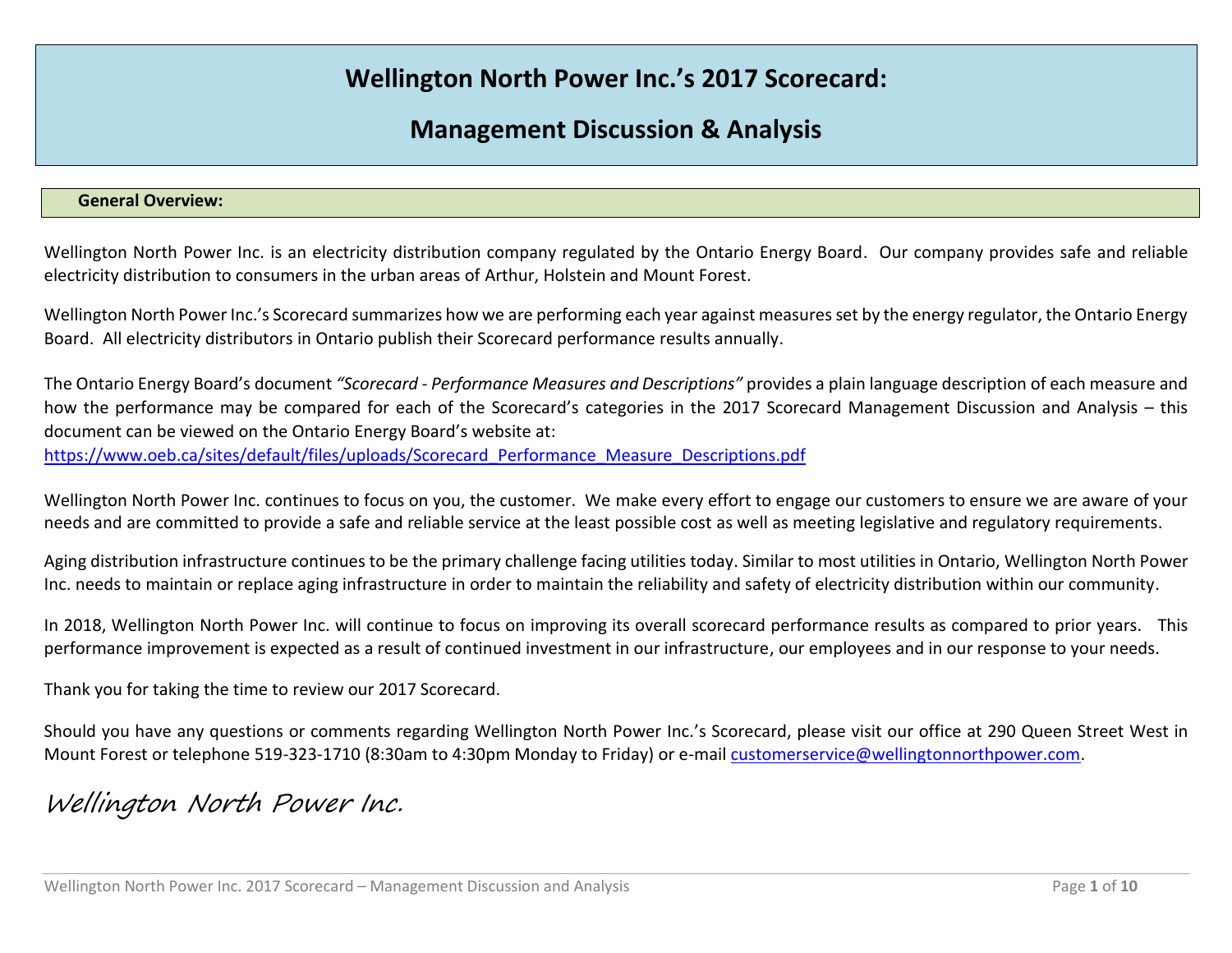# **Wellington North Power Inc.'s 2017 Scorecard:**

# **Management Discussion & Analysis**

## **General Overview:**

Wellington North Power Inc. is an electricity distribution company regulated by the Ontario Energy Board. Our company provides safe and reliable electricity distribution to consumers in the urban areas of Arthur, Holstein and Mount Forest.

Wellington North Power Inc.'s Scorecard summarizes how we are performing each year against measures set by the energy regulator, the Ontario Energy Board. All electricity distributors in Ontario publish their Scorecard performance results annually.

The Ontario Energy Board's document *"Scorecard - Performance Measures and Descriptions"* provides a plain language description of each measure and how the performance may be compared for each of the Scorecard's categories in the 2017 Scorecard Management Discussion and Analysis – this document can be viewed on the Ontario Energy Board's website at:

https://www.oeb.ca/sites/default/files/uploads/Scorecard Performance Measure Descriptions.pdf

Wellington North Power Inc. continues to focus on you, the customer. We make every effort to engage our customers to ensure we are aware of your needs and are committed to provide a safe and reliable service at the least possible cost as well as meeting legislative and regulatory requirements.

Aging distribution infrastructure continues to be the primary challenge facing utilities today. Similar to most utilities in Ontario, Wellington North Power Inc. needs to maintain or replace aging infrastructure in order to maintain the reliability and safety of electricity distribution within our community.

In 2018, Wellington North Power Inc. will continue to focus on improving its overall scorecard performance results as compared to prior years. This performance improvement is expected as a result of continued investment in our infrastructure, our employees and in our response to your needs.

Thank you for taking the time to review our 2017 Scorecard.

Should you have any questions or comments regarding Wellington North Power Inc.'s Scorecard, please visit our office at 290 Queen Street West in Mount Forest or telephone 519-323-1710 (8:30am to 4:30pm Monday to Friday) or e-mai[l customerservice@wellingtonnorthpower.com.](mailto:customerservice@wellingtonnorthpower.com)

# Wellington North Power Inc.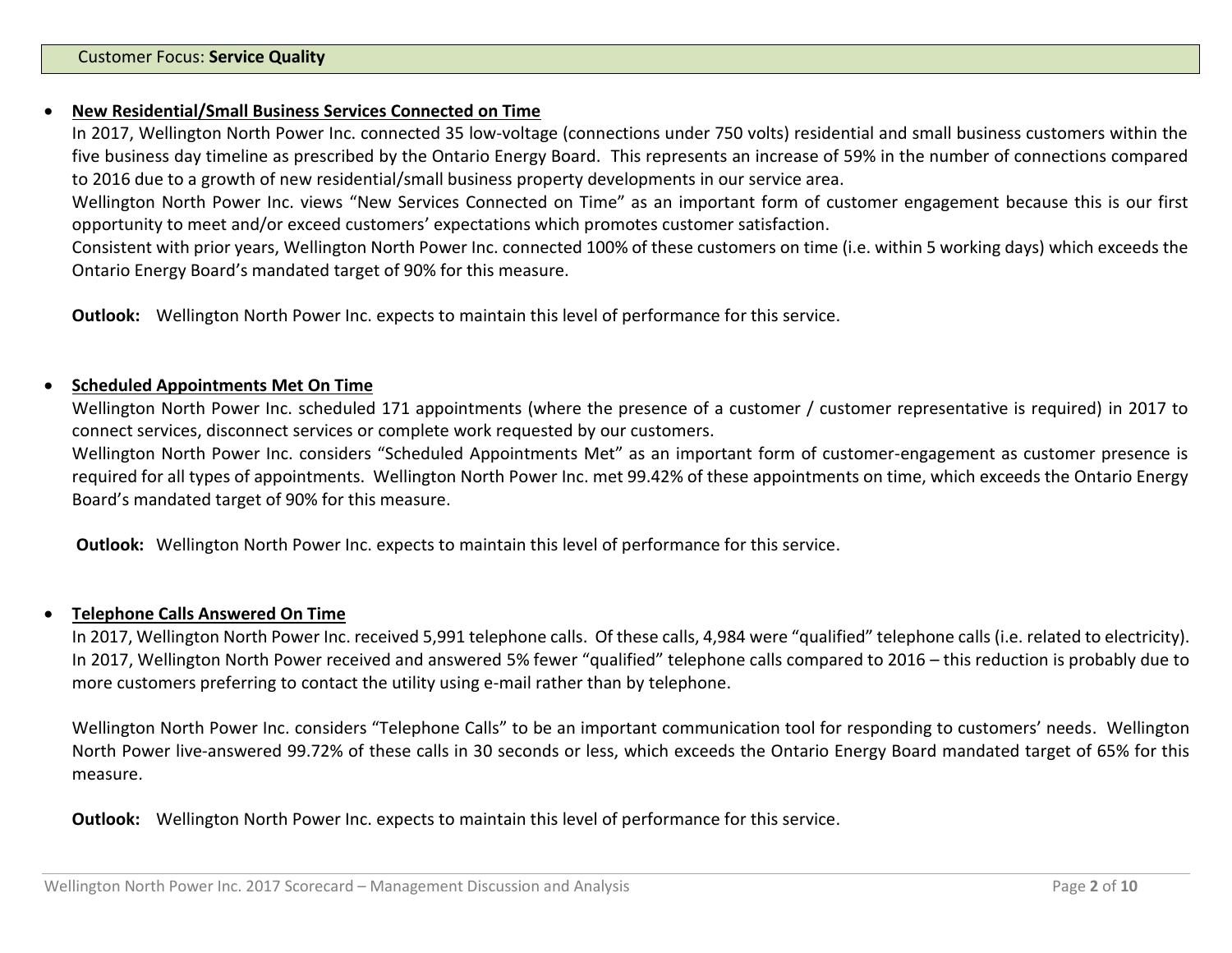#### **New Residential/Small Business Services Connected on Time**

In 2017, Wellington North Power Inc. connected 35 low-voltage (connections under 750 volts) residential and small business customers within the five business day timeline as prescribed by the Ontario Energy Board. This represents an increase of 59% in the number of connections compared to 2016 due to a growth of new residential/small business property developments in our service area.

Wellington North Power Inc. views "New Services Connected on Time" as an important form of customer engagement because this is our first opportunity to meet and/or exceed customers' expectations which promotes customer satisfaction.

Consistent with prior years, Wellington North Power Inc. connected 100% of these customers on time (i.e. within 5 working days) which exceeds the Ontario Energy Board's mandated target of 90% for this measure.

**Outlook:** Wellington North Power Inc. expects to maintain this level of performance for this service.

#### **Scheduled Appointments Met On Time**

Wellington North Power Inc. scheduled 171 appointments (where the presence of a customer / customer representative is required) in 2017 to connect services, disconnect services or complete work requested by our customers.

Wellington North Power Inc. considers "Scheduled Appointments Met" as an important form of customer-engagement as customer presence is required for all types of appointments. Wellington North Power Inc. met 99.42% of these appointments on time, which exceeds the Ontario Energy Board's mandated target of 90% for this measure.

**Outlook:** Wellington North Power Inc. expects to maintain this level of performance for this service.

## **Telephone Calls Answered On Time**

In 2017, Wellington North Power Inc. received 5,991 telephone calls. Of these calls, 4,984 were "qualified" telephone calls (i.e. related to electricity). In 2017, Wellington North Power received and answered 5% fewer "qualified" telephone calls compared to 2016 – this reduction is probably due to more customers preferring to contact the utility using e-mail rather than by telephone.

Wellington North Power Inc. considers "Telephone Calls" to be an important communication tool for responding to customers' needs. Wellington North Power live-answered 99.72% of these calls in 30 seconds or less, which exceeds the Ontario Energy Board mandated target of 65% for this measure.

**Outlook:** Wellington North Power Inc. expects to maintain this level of performance for this service.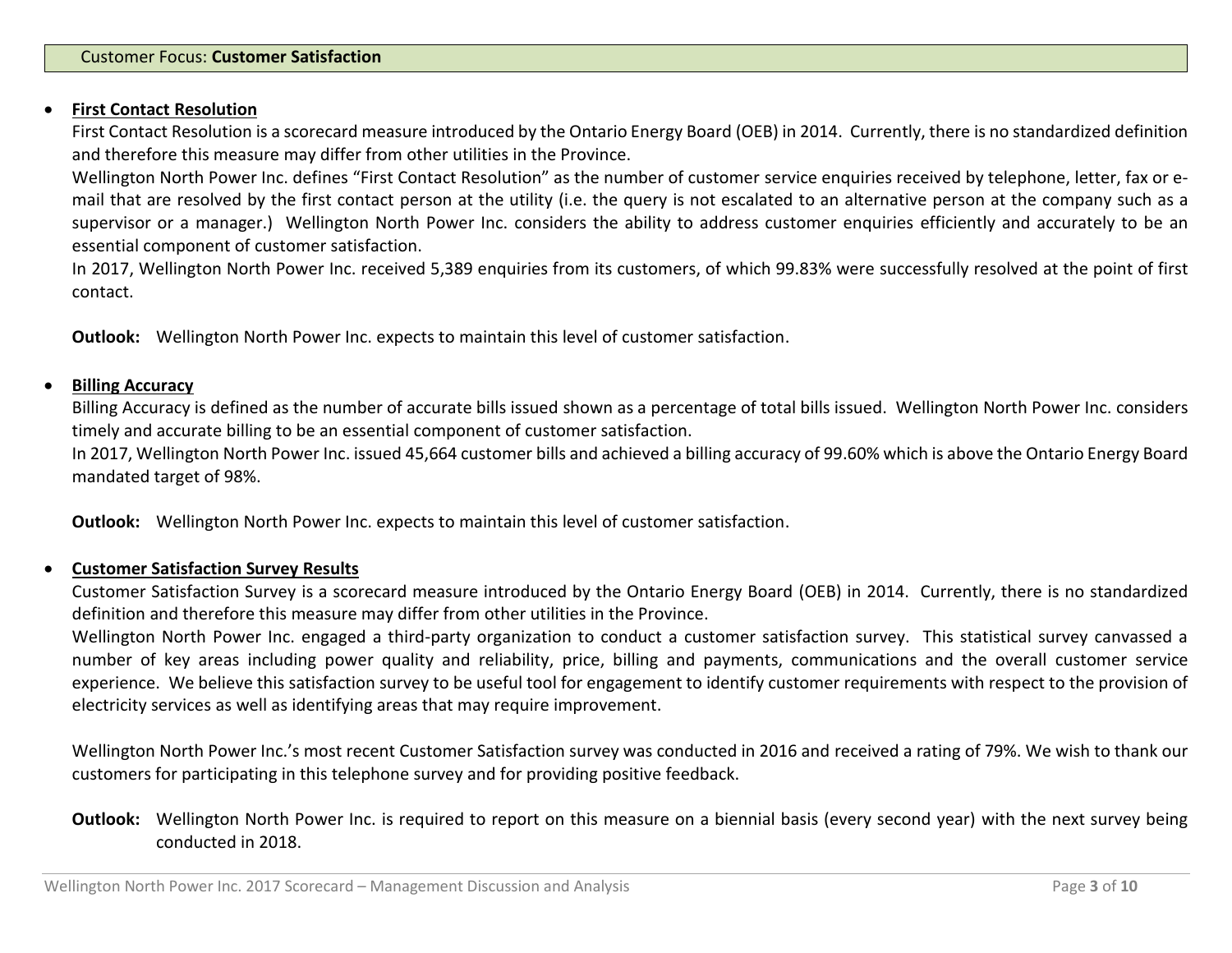#### **First Contact Resolution**

First Contact Resolution is a scorecard measure introduced by the Ontario Energy Board (OEB) in 2014. Currently, there is no standardized definition and therefore this measure may differ from other utilities in the Province.

Wellington North Power Inc. defines "First Contact Resolution" as the number of customer service enquiries received by telephone, letter, fax or email that are resolved by the first contact person at the utility (i.e. the query is not escalated to an alternative person at the company such as a supervisor or a manager.) Wellington North Power Inc. considers the ability to address customer enquiries efficiently and accurately to be an essential component of customer satisfaction.

In 2017, Wellington North Power Inc. received 5,389 enquiries from its customers, of which 99.83% were successfully resolved at the point of first contact.

**Outlook:** Wellington North Power Inc. expects to maintain this level of customer satisfaction.

#### **Billing Accuracy**

Billing Accuracy is defined as the number of accurate bills issued shown as a percentage of total bills issued. Wellington North Power Inc. considers timely and accurate billing to be an essential component of customer satisfaction.

In 2017, Wellington North Power Inc. issued 45,664 customer bills and achieved a billing accuracy of 99.60% which is above the Ontario Energy Board mandated target of 98%.

**Outlook:** Wellington North Power Inc. expects to maintain this level of customer satisfaction.

## **Customer Satisfaction Survey Results**

Customer Satisfaction Survey is a scorecard measure introduced by the Ontario Energy Board (OEB) in 2014. Currently, there is no standardized definition and therefore this measure may differ from other utilities in the Province.

Wellington North Power Inc. engaged a third-party organization to conduct a customer satisfaction survey. This statistical survey canvassed a number of key areas including power quality and reliability, price, billing and payments, communications and the overall customer service experience. We believe this satisfaction survey to be useful tool for engagement to identify customer requirements with respect to the provision of electricity services as well as identifying areas that may require improvement.

Wellington North Power Inc.'s most recent Customer Satisfaction survey was conducted in 2016 and received a rating of 79%. We wish to thank our customers for participating in this telephone survey and for providing positive feedback.

# **Outlook:** Wellington North Power Inc. is required to report on this measure on a biennial basis (every second year) with the next survey being conducted in 2018.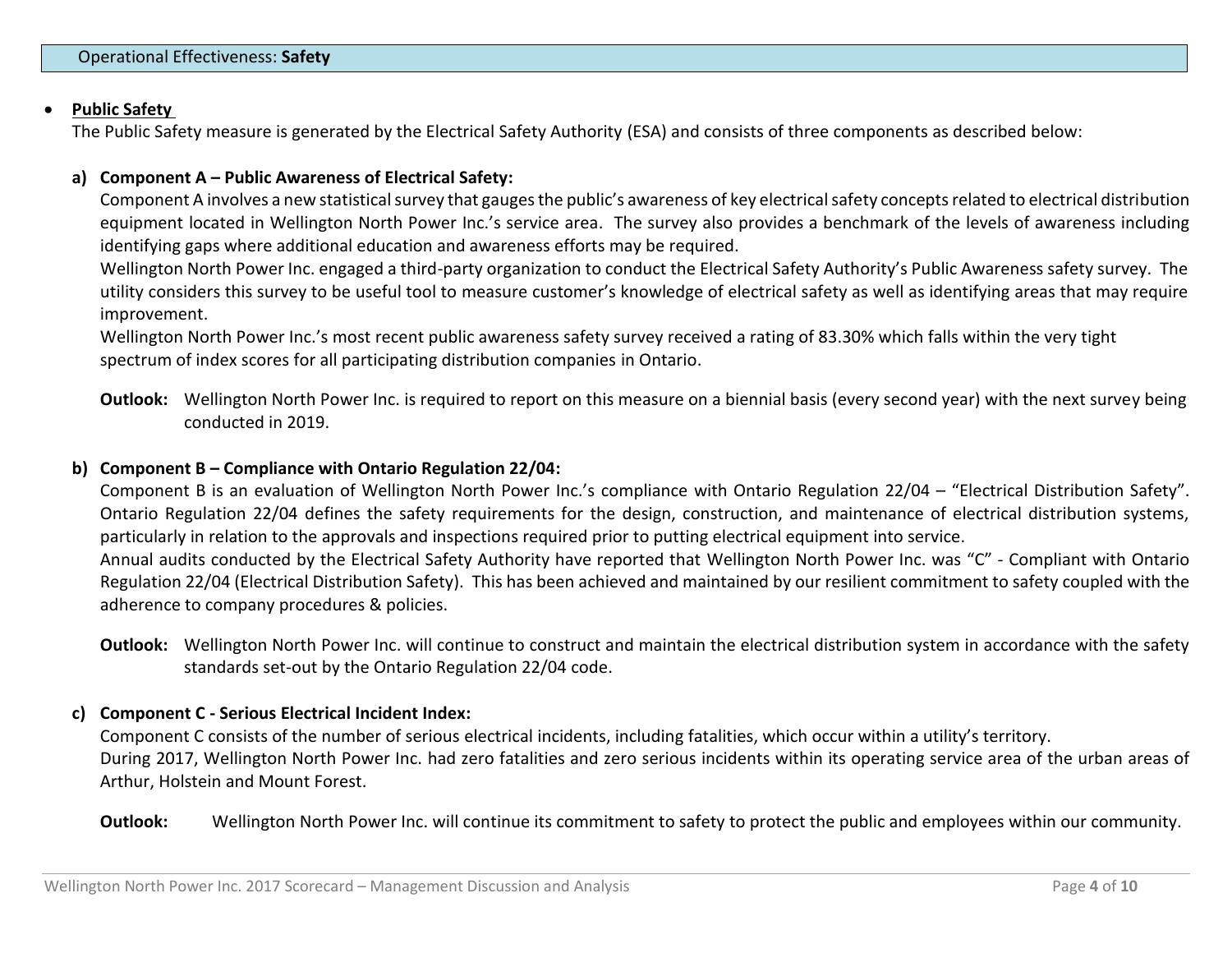## **Public Safety**

The Public Safety measure is generated by the Electrical Safety Authority (ESA) and consists of three components as described below:

#### **a) Component A – Public Awareness of Electrical Safety:**

Component A involves a new statistical survey that gauges the public's awareness of key electrical safety concepts related to electrical distribution equipment located in Wellington North Power Inc.'s service area. The survey also provides a benchmark of the levels of awareness including identifying gaps where additional education and awareness efforts may be required.

Wellington North Power Inc. engaged a third-party organization to conduct the Electrical Safety Authority's Public Awareness safety survey. The utility considers this survey to be useful tool to measure customer's knowledge of electrical safety as well as identifying areas that may require improvement.

Wellington North Power Inc.'s most recent public awareness safety survey received a rating of 83.30% which falls within the very tight spectrum of index scores for all participating distribution companies in Ontario.

**Outlook:** Wellington North Power Inc. is required to report on this measure on a biennial basis (every second year) with the next survey being conducted in 2019.

# **b) Component B – Compliance with Ontario Regulation 22/04:**

Component B is an evaluation of Wellington North Power Inc.'s compliance with Ontario Regulation 22/04 – "Electrical Distribution Safety". Ontario Regulation 22/04 defines the safety requirements for the design, construction, and maintenance of electrical distribution systems, particularly in relation to the approvals and inspections required prior to putting electrical equipment into service. Annual audits conducted by the Electrical Safety Authority have reported that Wellington North Power Inc. was "C" - Compliant with Ontario Regulation 22/04 (Electrical Distribution Safety). This has been achieved and maintained by our resilient commitment to safety coupled with the adherence to company procedures & policies.

**Outlook:** Wellington North Power Inc. will continue to construct and maintain the electrical distribution system in accordance with the safety standards set-out by the Ontario Regulation 22/04 code.

## **c) Component C - Serious Electrical Incident Index:**

Component C consists of the number of serious electrical incidents, including fatalities, which occur within a utility's territory. During 2017, Wellington North Power Inc. had zero fatalities and zero serious incidents within its operating service area of the urban areas of Arthur, Holstein and Mount Forest.

#### **Outlook:** Wellington North Power Inc. will continue its commitment to safety to protect the public and employees within our community.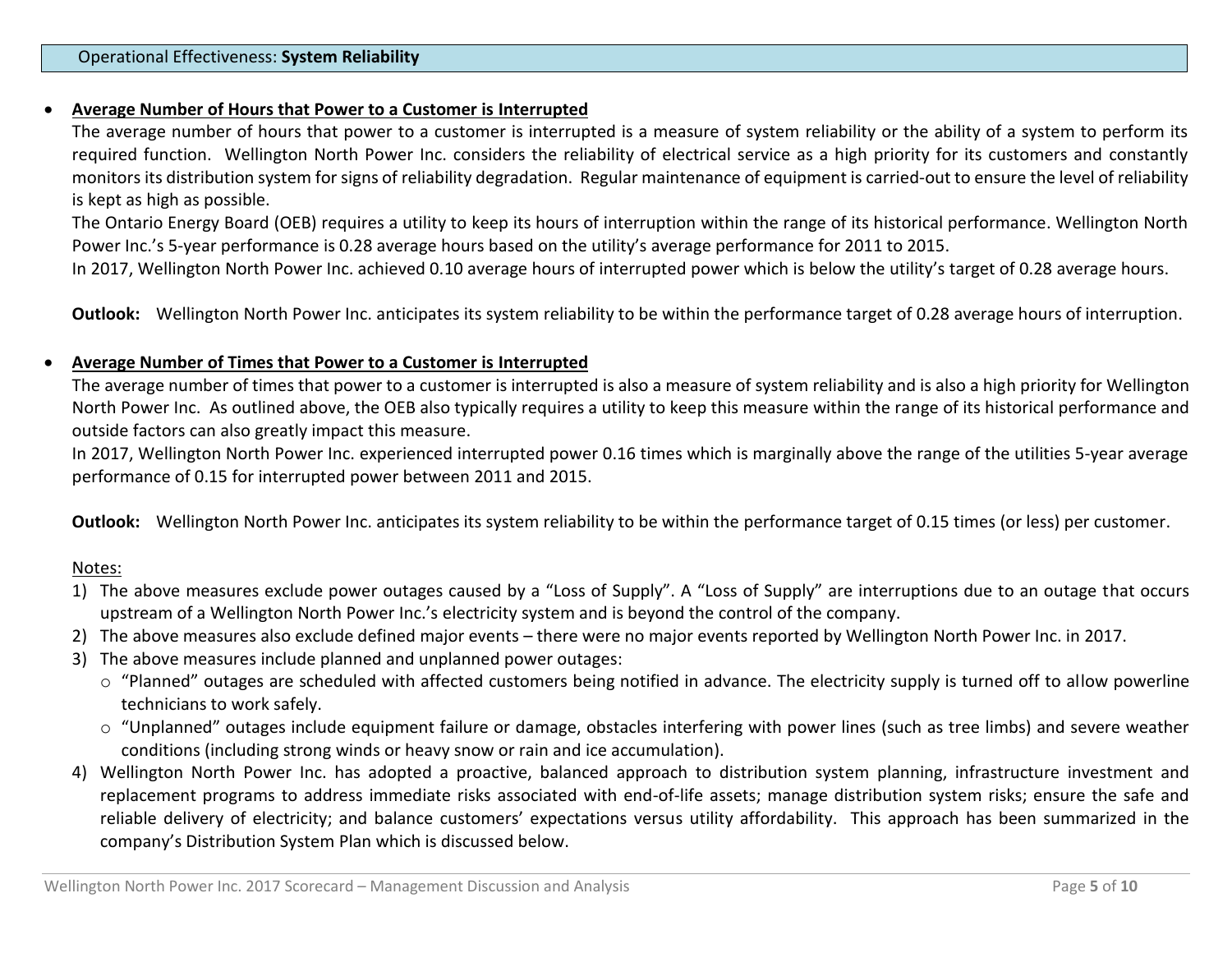## **Average Number of Hours that Power to a Customer is Interrupted**

The average number of hours that power to a customer is interrupted is a measure of system reliability or the ability of a system to perform its required function. Wellington North Power Inc. considers the reliability of electrical service as a high priority for its customers and constantly monitors its distribution system for signs of reliability degradation. Regular maintenance of equipment is carried-out to ensure the level of reliability is kept as high as possible.

The Ontario Energy Board (OEB) requires a utility to keep its hours of interruption within the range of its historical performance. Wellington North Power Inc.'s 5-year performance is 0.28 average hours based on the utility's average performance for 2011 to 2015.

In 2017, Wellington North Power Inc. achieved 0.10 average hours of interrupted power which is below the utility's target of 0.28 average hours.

**Outlook:** Wellington North Power Inc. anticipates its system reliability to be within the performance target of 0.28 average hours of interruption.

## **Average Number of Times that Power to a Customer is Interrupted**

The average number of times that power to a customer is interrupted is also a measure of system reliability and is also a high priority for Wellington North Power Inc. As outlined above, the OEB also typically requires a utility to keep this measure within the range of its historical performance and outside factors can also greatly impact this measure.

In 2017, Wellington North Power Inc. experienced interrupted power 0.16 times which is marginally above the range of the utilities 5-year average performance of 0.15 for interrupted power between 2011 and 2015.

**Outlook:** Wellington North Power Inc. anticipates its system reliability to be within the performance target of 0.15 times (or less) per customer.

## Notes:

- 1) The above measures exclude power outages caused by a "Loss of Supply". A "Loss of Supply" are interruptions due to an outage that occurs upstream of a Wellington North Power Inc.'s electricity system and is beyond the control of the company.
- 2) The above measures also exclude defined major events there were no major events reported by Wellington North Power Inc. in 2017.
- 3) The above measures include planned and unplanned power outages:
	- o "Planned" outages are scheduled with affected customers being notified in advance. The electricity supply is turned off to allow powerline technicians to work safely.
	- o "Unplanned" outages include equipment failure or damage, obstacles interfering with power lines (such as tree limbs) and severe weather conditions (including strong winds or heavy snow or rain and ice accumulation).
- 4) Wellington North Power Inc. has adopted a proactive, balanced approach to distribution system planning, infrastructure investment and replacement programs to address immediate risks associated with end-of-life assets; manage distribution system risks; ensure the safe and reliable delivery of electricity; and balance customers' expectations versus utility affordability. This approach has been summarized in the company's Distribution System Plan which is discussed below.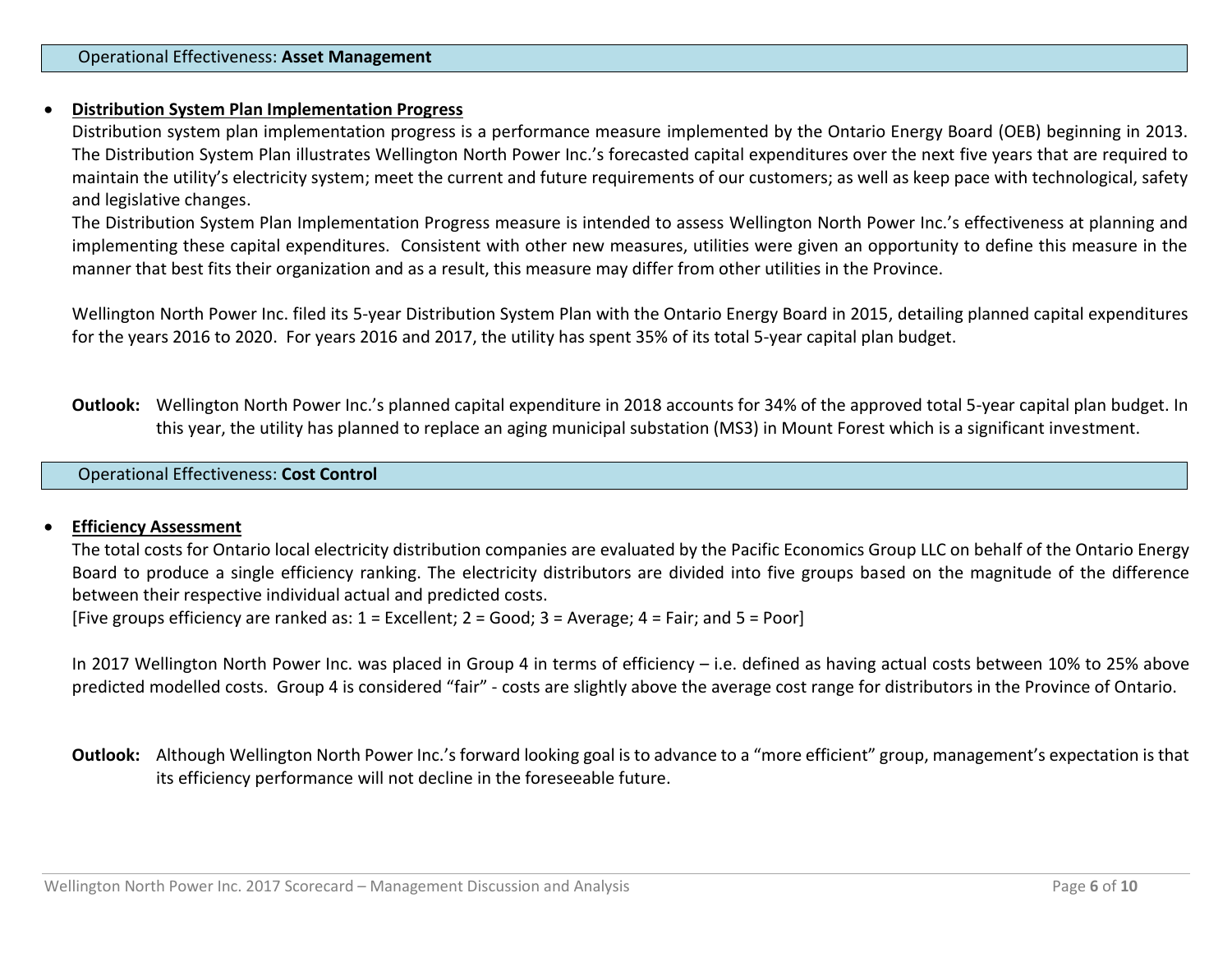## **Distribution System Plan Implementation Progress**

Distribution system plan implementation progress is a performance measure implemented by the Ontario Energy Board (OEB) beginning in 2013. The Distribution System Plan illustrates Wellington North Power Inc.'s forecasted capital expenditures over the next five years that are required to maintain the utility's electricity system; meet the current and future requirements of our customers; as well as keep pace with technological, safety and legislative changes.

The Distribution System Plan Implementation Progress measure is intended to assess Wellington North Power Inc.'s effectiveness at planning and implementing these capital expenditures. Consistent with other new measures, utilities were given an opportunity to define this measure in the manner that best fits their organization and as a result, this measure may differ from other utilities in the Province.

Wellington North Power Inc. filed its 5-year Distribution System Plan with the Ontario Energy Board in 2015, detailing planned capital expenditures for the years 2016 to 2020. For years 2016 and 2017, the utility has spent 35% of its total 5-year capital plan budget.

**Outlook:** Wellington North Power Inc.'s planned capital expenditure in 2018 accounts for 34% of the approved total 5-year capital plan budget. In this year, the utility has planned to replace an aging municipal substation (MS3) in Mount Forest which is a significant investment.

# Operational Effectiveness: **Cost Control**

#### **Efficiency Assessment**

The total costs for Ontario local electricity distribution companies are evaluated by the Pacific Economics Group LLC on behalf of the Ontario Energy Board to produce a single efficiency ranking. The electricity distributors are divided into five groups based on the magnitude of the difference between their respective individual actual and predicted costs.

[Five groups efficiency are ranked as: 1 = Excellent; 2 = Good; 3 = Average; 4 = Fair; and 5 = Poor]

In 2017 Wellington North Power Inc. was placed in Group 4 in terms of efficiency – i.e. defined as having actual costs between 10% to 25% above predicted modelled costs. Group 4 is considered "fair" - costs are slightly above the average cost range for distributors in the Province of Ontario.

**Outlook:** Although Wellington North Power Inc.'s forward looking goal is to advance to a "more efficient" group, management's expectation is that its efficiency performance will not decline in the foreseeable future.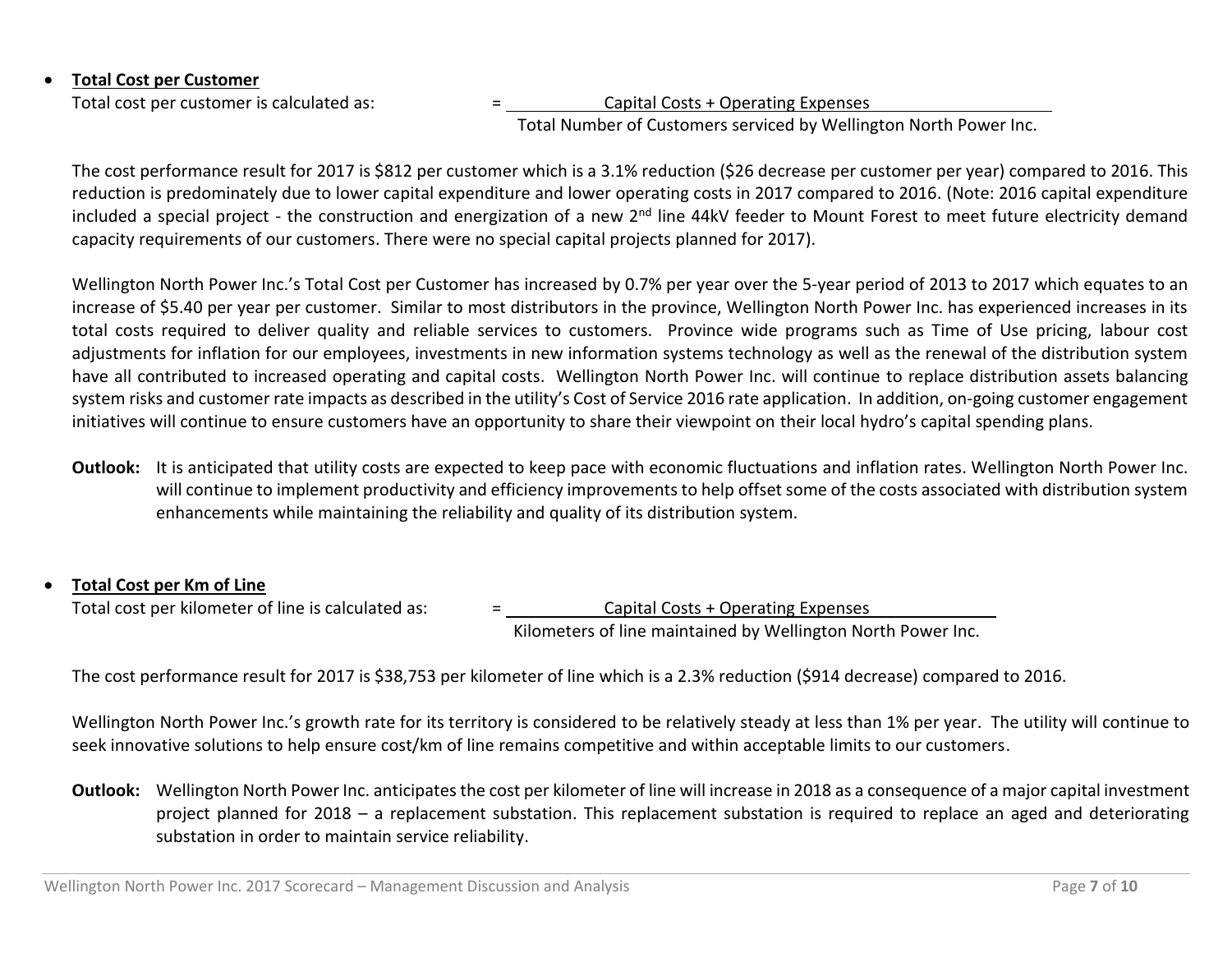# **Total Cost per Customer**

Total cost per customer is calculated as:  $\qquad \qquad =$  Capital Costs + Operating Expenses

Total Number of Customers serviced by Wellington North Power Inc.

The cost performance result for 2017 is \$812 per customer which is a 3.1% reduction (\$26 decrease per customer per year) compared to 2016. This reduction is predominately due to lower capital expenditure and lower operating costs in 2017 compared to 2016. (Note: 2016 capital expenditure included a special project - the construction and energization of a new 2<sup>nd</sup> line 44kV feeder to Mount Forest to meet future electricity demand capacity requirements of our customers. There were no special capital projects planned for 2017).

Wellington North Power Inc.'s Total Cost per Customer has increased by 0.7% per year over the 5-year period of 2013 to 2017 which equates to an increase of \$5.40 per year per customer. Similar to most distributors in the province, Wellington North Power Inc. has experienced increases in its total costs required to deliver quality and reliable services to customers. Province wide programs such as Time of Use pricing, labour cost adjustments for inflation for our employees, investments in new information systems technology as well as the renewal of the distribution system have all contributed to increased operating and capital costs. Wellington North Power Inc. will continue to replace distribution assets balancing system risks and customer rate impacts as described in the utility's Cost of Service 2016 rate application. In addition, on-going customer engagement initiatives will continue to ensure customers have an opportunity to share their viewpoint on their local hydro's capital spending plans.

**Outlook:** It is anticipated that utility costs are expected to keep pace with economic fluctuations and inflation rates. Wellington North Power Inc. will continue to implement productivity and efficiency improvements to help offset some of the costs associated with distribution system enhancements while maintaining the reliability and quality of its distribution system.

# **Total Cost per Km of Line**

Total cost per kilometer of line is calculated as:  $\qquad \qquad =$  Capital Costs + Operating Expenses

Kilometers of line maintained by Wellington North Power Inc.

The cost performance result for 2017 is \$38,753 per kilometer of line which is a 2.3% reduction (\$914 decrease) compared to 2016.

Wellington North Power Inc.'s growth rate for its territory is considered to be relatively steady at less than 1% per year. The utility will continue to seek innovative solutions to help ensure cost/km of line remains competitive and within acceptable limits to our customers.

**Outlook:** Wellington North Power Inc. anticipates the cost per kilometer of line will increase in 2018 as a consequence of a major capital investment project planned for 2018 – a replacement substation. This replacement substation is required to replace an aged and deteriorating substation in order to maintain service reliability.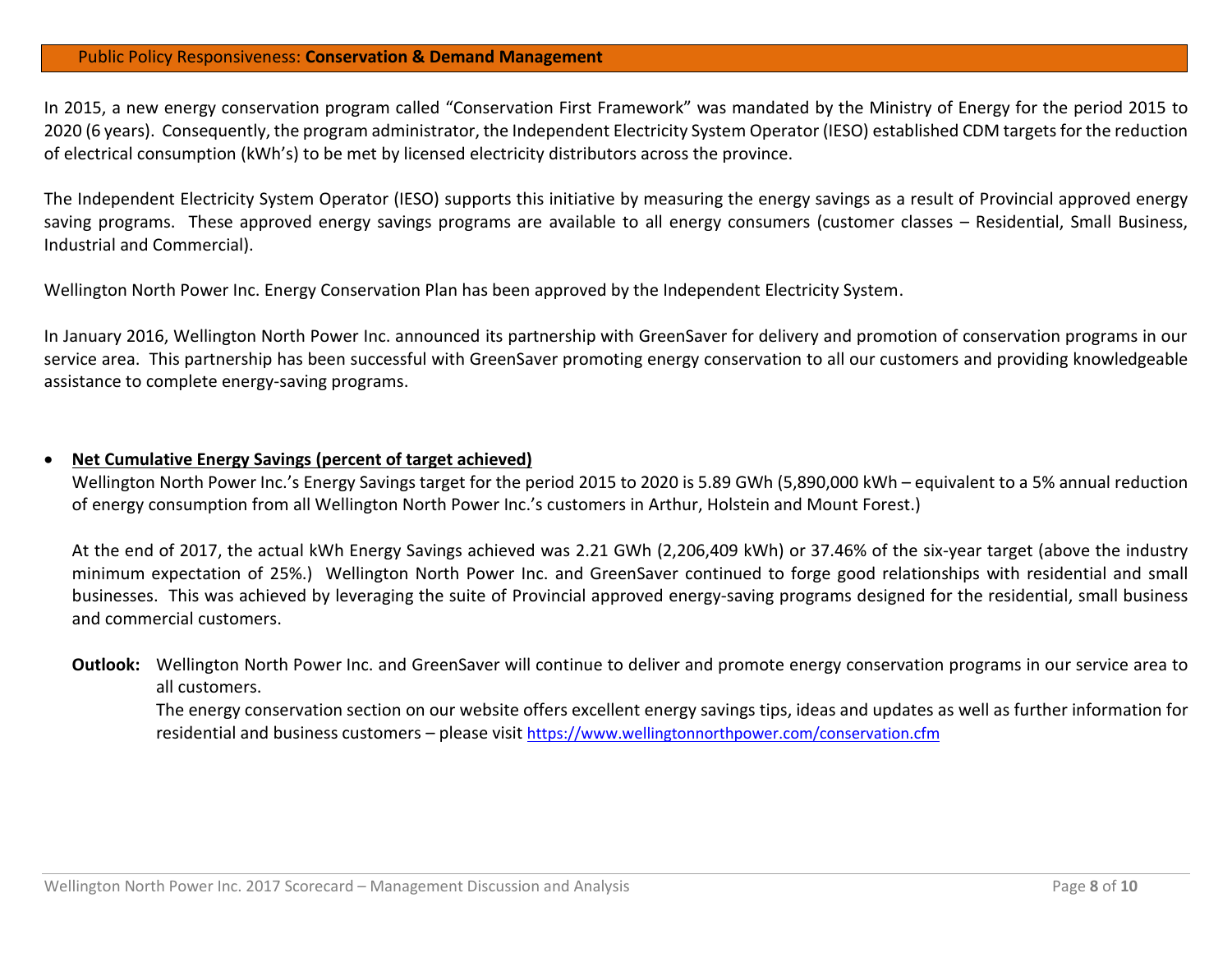#### Public Policy Responsiveness: **Conservation & Demand Management**

In 2015, a new energy conservation program called "Conservation First Framework" was mandated by the Ministry of Energy for the period 2015 to 2020 (6 years). Consequently, the program administrator, the Independent Electricity System Operator (IESO) established CDM targets for the reduction of electrical consumption (kWh's) to be met by licensed electricity distributors across the province.

The Independent Electricity System Operator (IESO) supports this initiative by measuring the energy savings as a result of Provincial approved energy saving programs. These approved energy savings programs are available to all energy consumers (customer classes – Residential, Small Business, Industrial and Commercial).

Wellington North Power Inc. Energy Conservation Plan has been approved by the Independent Electricity System.

In January 2016, Wellington North Power Inc. announced its partnership with GreenSaver for delivery and promotion of conservation programs in our service area. This partnership has been successful with GreenSaver promoting energy conservation to all our customers and providing knowledgeable assistance to complete energy-saving programs.

#### **Net Cumulative Energy Savings (percent of target achieved)**

Wellington North Power Inc.'s Energy Savings target for the period 2015 to 2020 is 5.89 GWh (5,890,000 kWh – equivalent to a 5% annual reduction of energy consumption from all Wellington North Power Inc.'s customers in Arthur, Holstein and Mount Forest.)

At the end of 2017, the actual kWh Energy Savings achieved was 2.21 GWh (2,206,409 kWh) or 37.46% of the six-year target (above the industry minimum expectation of 25%.) Wellington North Power Inc. and GreenSaver continued to forge good relationships with residential and small businesses. This was achieved by leveraging the suite of Provincial approved energy-saving programs designed for the residential, small business and commercial customers.

# **Outlook:** Wellington North Power Inc. and GreenSaver will continue to deliver and promote energy conservation programs in our service area to all customers.

The energy conservation section on our website offers excellent energy savings tips, ideas and updates as well as further information for residential and business customers – please visit <https://www.wellingtonnorthpower.com/conservation.cfm>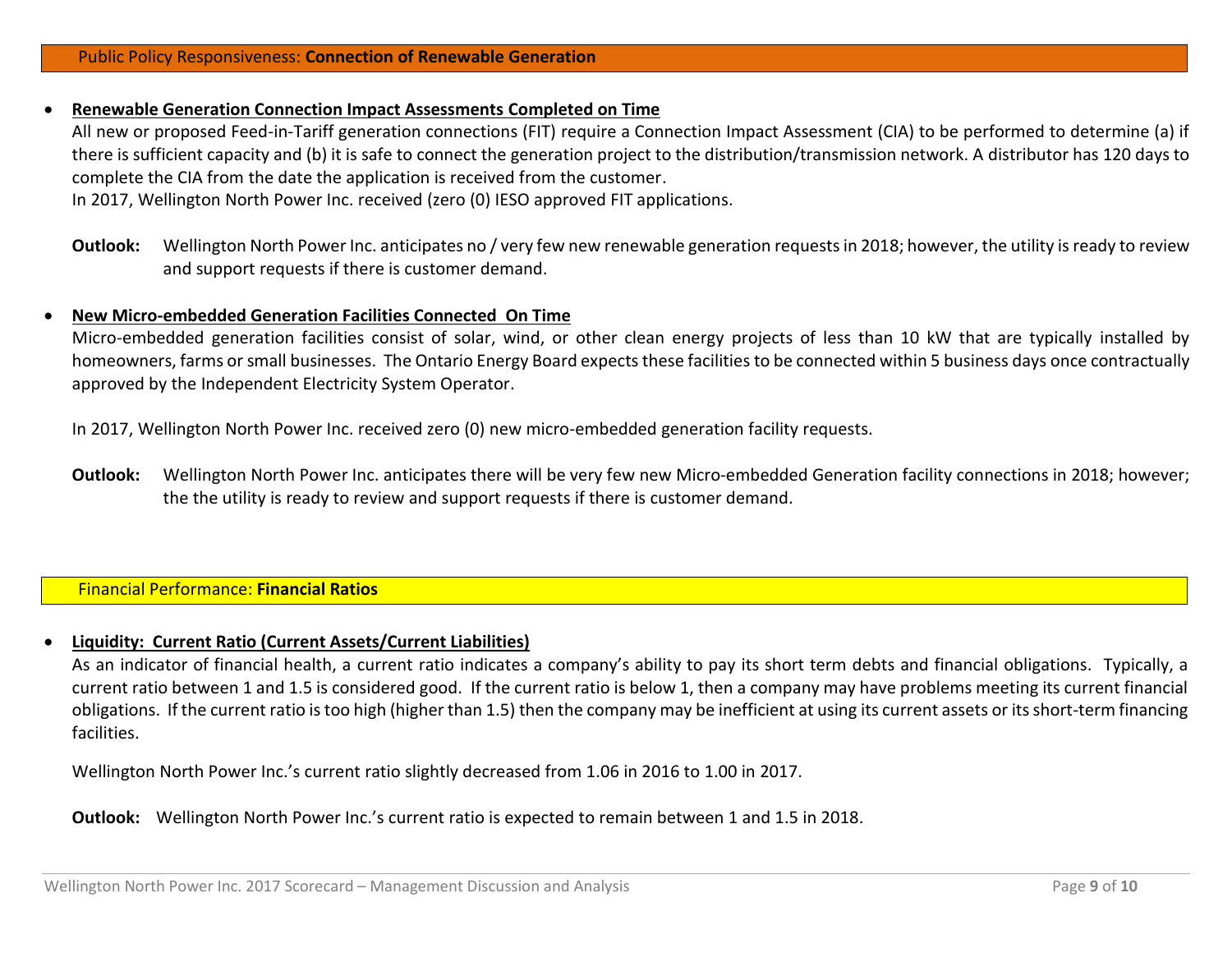#### **Renewable Generation Connection Impact Assessments Completed on Time**

All new or proposed Feed-in-Tariff generation connections (FIT) require a Connection Impact Assessment (CIA) to be performed to determine (a) if there is sufficient capacity and (b) it is safe to connect the generation project to the distribution/transmission network. A distributor has 120 days to complete the CIA from the date the application is received from the customer.

In 2017, Wellington North Power Inc. received (zero (0) IESO approved FIT applications.

#### **New Micro-embedded Generation Facilities Connected On Time**

Micro-embedded generation facilities consist of solar, wind, or other clean energy projects of less than 10 kW that are typically installed by homeowners, farms or small businesses. The Ontario Energy Board expects these facilities to be connected within 5 business days once contractually approved by the Independent Electricity System Operator.

In 2017, Wellington North Power Inc. received zero (0) new micro-embedded generation facility requests.

**Outlook:** Wellington North Power Inc. anticipates there will be very few new Micro-embedded Generation facility connections in 2018; however; the the utility is ready to review and support requests if there is customer demand.

# Financial Performance: **Financial Ratios**

## **Liquidity: Current Ratio (Current Assets/Current Liabilities)**

As an indicator of financial health, a current ratio indicates a company's ability to pay its short term debts and financial obligations. Typically, a current ratio between 1 and 1.5 is considered good. If the current ratio is below 1, then a company may have problems meeting its current financial obligations. If the current ratio is too high (higher than 1.5) then the company may be inefficient at using its current assets or its short-term financing facilities.

Wellington North Power Inc.'s current ratio slightly decreased from 1.06 in 2016 to 1.00 in 2017.

**Outlook:** Wellington North Power Inc.'s current ratio is expected to remain between 1 and 1.5 in 2018.

**Outlook:** Wellington North Power Inc. anticipates no / very few new renewable generation requests in 2018; however, the utility is ready to review and support requests if there is customer demand.